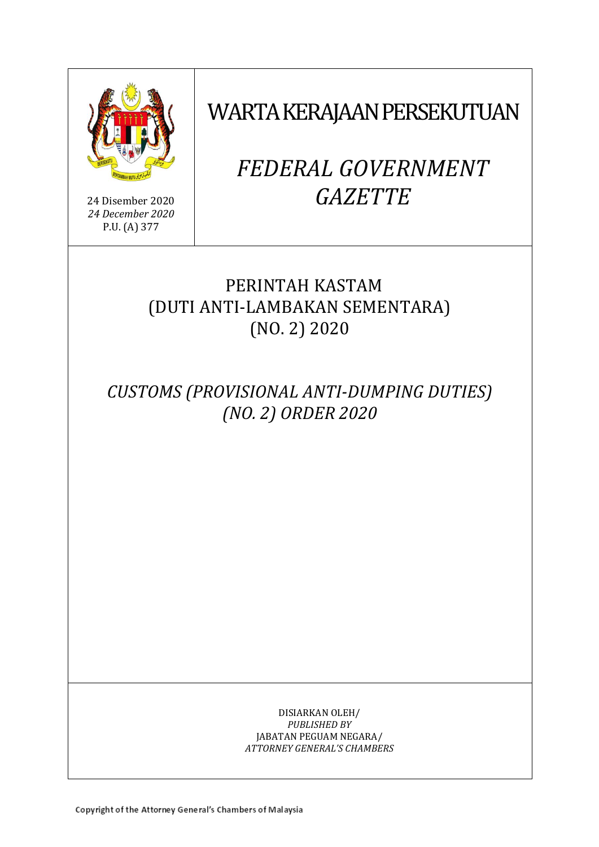

24 Disember 2020 *24 December 2020* P.U. (A) 377

# WARTA KERAJAAN PERSEKUTUAN

# *FEDERAL GOVERNMENT GAZETTE*

# PERINTAH KASTAM (DUTI ANTI-LAMBAKAN SEMENTARA) (NO. 2) 2020

*CUSTOMS (PROVISIONAL ANTI-DUMPING DUTIES) (NO. 2) ORDER 2020*

> DISIARKAN OLEH/ *PUBLISHED BY* JABATAN PEGUAM NEGARA/ *ATTORNEY GENERAL'S CHAMBERS*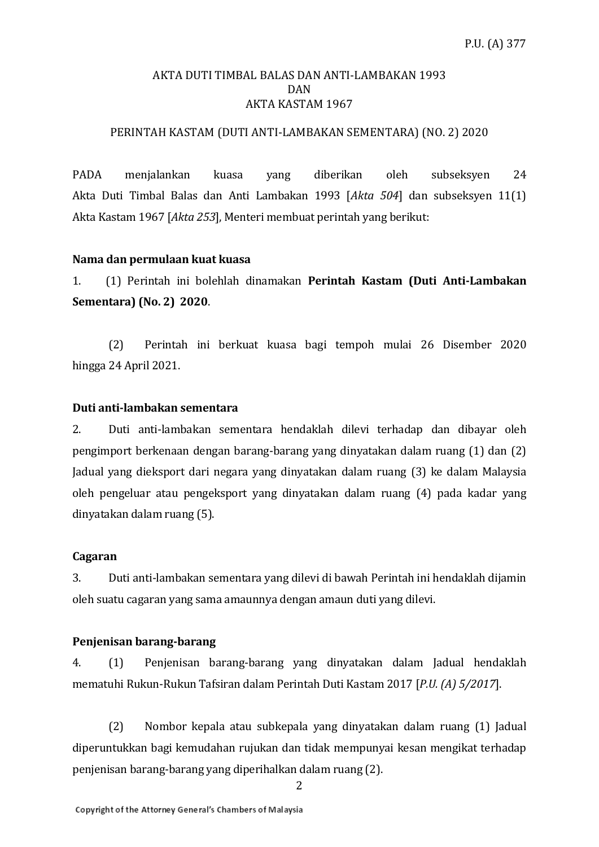#### AKTA DUTI TIMBAL BALAS DAN ANTI-LAMBAKAN 1993 DAN AKTA KASTAM 1967

#### PERINTAH KASTAM (DUTI ANTI-LAMBAKAN SEMENTARA) (NO. 2) 2020

PADA menjalankan kuasa yang diberikan oleh subseksyen 24 Akta Duti Timbal Balas dan Anti Lambakan 1993 [*Akta 504*] dan subseksyen 11(1) Akta Kastam 1967 [*Akta 253*], Menteri membuat perintah yang berikut:

#### **Nama dan permulaan kuat kuasa**

1. (1) Perintah ini bolehlah dinamakan **Perintah Kastam (Duti Anti-Lambakan Sementara) (No. 2) 2020**.

(2) Perintah ini berkuat kuasa bagi tempoh mulai 26 Disember 2020 hingga 24 April 2021.

#### **Duti anti-lambakan sementara**

2. Duti anti-lambakan sementara hendaklah dilevi terhadap dan dibayar oleh pengimport berkenaan dengan barang-barang yang dinyatakan dalam ruang (1) dan (2) Jadual yang dieksport dari negara yang dinyatakan dalam ruang (3) ke dalam Malaysia oleh pengeluar atau pengeksport yang dinyatakan dalam ruang (4) pada kadar yang dinyatakan dalam ruang (5).

#### **Cagaran**

3. Duti anti-lambakan sementara yang dilevi di bawah Perintah ini hendaklah dijamin oleh suatu cagaran yang sama amaunnya dengan amaun duti yang dilevi.

#### **Penjenisan barang-barang**

4. (1) Penjenisan barang-barang yang dinyatakan dalam Jadual hendaklah mematuhi Rukun-Rukun Tafsiran dalam Perintah Duti Kastam 2017 [*P.U. (A) 5/2017*].

(2) Nombor kepala atau subkepala yang dinyatakan dalam ruang (1) Jadual diperuntukkan bagi kemudahan rujukan dan tidak mempunyai kesan mengikat terhadap penjenisan barang-barang yang diperihalkan dalam ruang (2).

2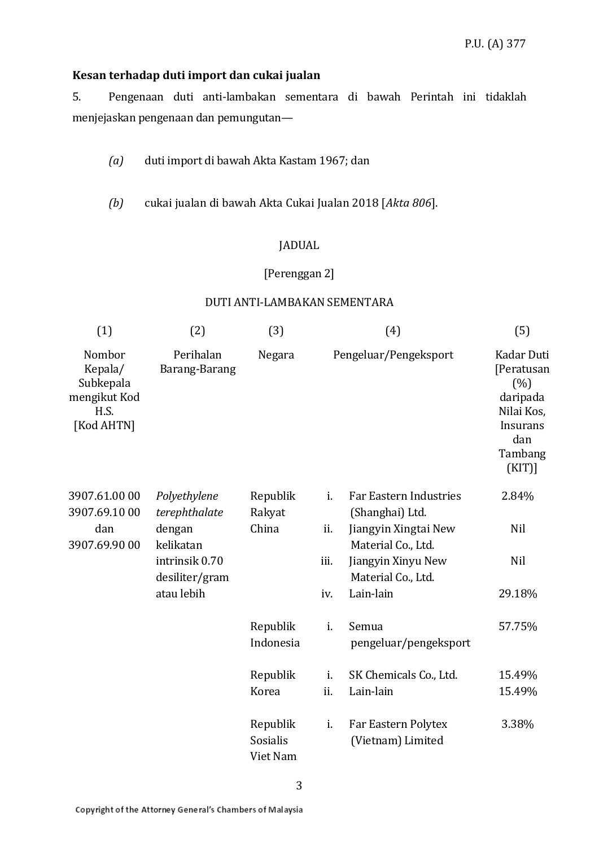# **Kesan terhadap duti import dan cukai jualan**

5. Pengenaan duti anti-lambakan sementara di bawah Perintah ini tidaklah menjejaskan pengenaan dan pemungutan—

*(a)* duti import di bawah Akta Kastam 1967; dan

*(b)* cukai jualan di bawah Akta Cukai Jualan 2018 [*Akta 806*].

#### JADUAL

# [Perenggan 2]

#### DUTI ANTI-LAMBAKAN SEMENTARA

| (1)                                                                  | (2)                              | (3)                              | (4)                   |                                                  | (5)                                                                                                   |
|----------------------------------------------------------------------|----------------------------------|----------------------------------|-----------------------|--------------------------------------------------|-------------------------------------------------------------------------------------------------------|
| Nombor<br>Kepala/<br>Subkepala<br>mengikut Kod<br>H.S.<br>[Kod AHTN] | Perihalan<br>Barang-Barang       | Negara                           | Pengeluar/Pengeksport |                                                  | Kadar Duti<br>[Peratusan<br>(% )<br>daripada<br>Nilai Kos,<br>Insurans<br>dan<br>Tambang<br>$(KIT)$ ] |
| 3907.61.00 00<br>3907.69.1000                                        | Polyethylene<br>terephthalate    | Republik<br>Rakyat               | i.                    | <b>Far Eastern Industries</b><br>(Shanghai) Ltd. | 2.84%                                                                                                 |
| dan<br>3907.69.90 00                                                 | dengan<br>kelikatan              | China                            | ii.                   | Jiangyin Xingtai New<br>Material Co., Ltd.       | Nil                                                                                                   |
|                                                                      | intrinsik 0.70<br>desiliter/gram |                                  | iii.                  | Jiangyin Xinyu New<br>Material Co., Ltd.         | Nil                                                                                                   |
|                                                                      | atau lebih                       |                                  | iv.                   | Lain-lain                                        | 29.18%                                                                                                |
|                                                                      |                                  | Republik<br>Indonesia            | i.                    | Semua<br>pengeluar/pengeksport                   | 57.75%                                                                                                |
|                                                                      |                                  | Republik                         | i.                    | SK Chemicals Co., Ltd.                           | 15.49%                                                                                                |
|                                                                      |                                  | Korea                            | ii.                   | Lain-lain                                        | 15.49%                                                                                                |
|                                                                      |                                  | Republik<br>Sosialis<br>Viet Nam | i.                    | Far Eastern Polytex<br>(Vietnam) Limited         | 3.38%                                                                                                 |

3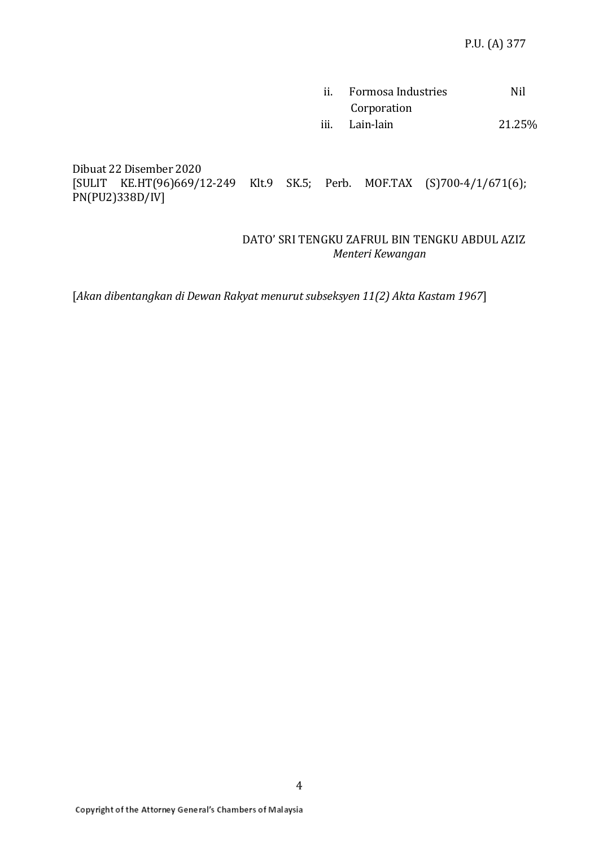| ii. | Formosa Industries | Nil    |
|-----|--------------------|--------|
|     | Corporation        |        |
|     | iii. Lain-lain     | 21.25% |

Dibuat 22 Disember 2020 [SULIT KE.HT(96)669/12-249 Klt.9 SK.5; Perb. MOF.TAX (S)700-4/1/671(6); PN(PU2)338D/IV]

# DATO' SRI TENGKU ZAFRUL BIN TENGKU ABDUL AZIZ *Menteri Kewangan*

[*Akan dibentangkan di Dewan Rakyat menurut subseksyen 11(2) Akta Kastam 1967*]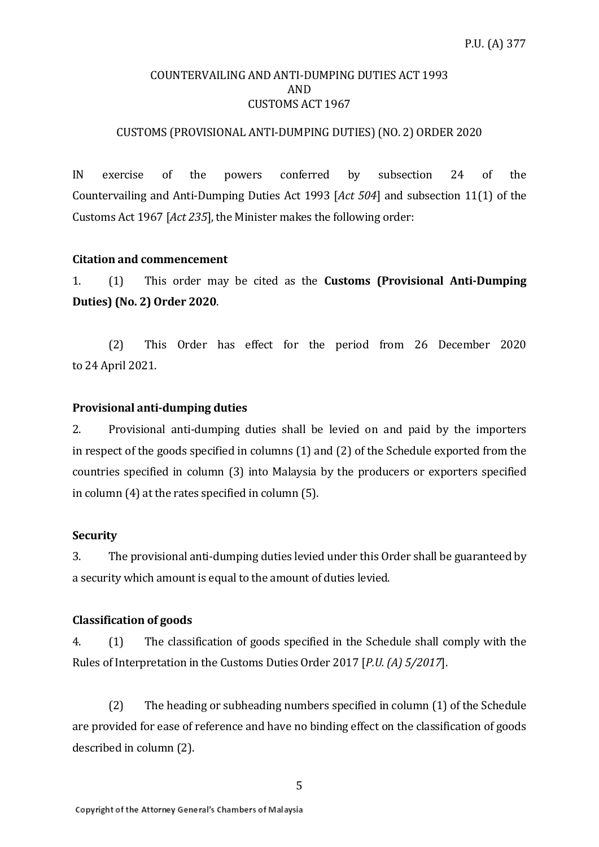#### COUNTERVAILING AND ANTI-DUMPING DUTIES ACT 1993 AND CUSTOMS ACT 1967

# CUSTOMS (PROVISIONAL ANTI-DUMPING DUTIES)(NO. 2) ORDER 2020

IN exercise of the powers conferred by subsection 24 of the Countervailing and Anti-Dumping Duties Act 1993 [*Act 504*] and subsection 11(1) of the Customs Act 1967 [*Act 235*], the Minister makes the following order:

## **Citation and commencement**

1. (1) This order may be cited as the **Customs (Provisional Anti-Dumping Duties) (No. 2) Order 2020**.

(2) This Order has effect for the period from 26 December 2020 to 24 April 2021.

## **Provisional anti-dumping duties**

2. Provisional anti-dumping duties shall be levied on and paid by the importers in respect of the goods specified in columns (1) and (2) of the Schedule exported from the countries specified in column (3) into Malaysia by the producers or exporters specified in column (4) at the rates specified in column (5).

#### **Security**

3. The provisional anti-dumping duties levied under this Order shall be guaranteed by a security which amount is equal to the amount of duties levied.

#### **Classification of goods**

4. (1) The classification of goods specified in the Schedule shall comply with the Rules of Interpretation in the Customs Duties Order 2017 [*P.U. (A) 5/2017*].

(2) The heading or subheading numbers specified in column (1) of the Schedule are provided for ease of reference and have no binding effect on the classification of goods described in column (2).

5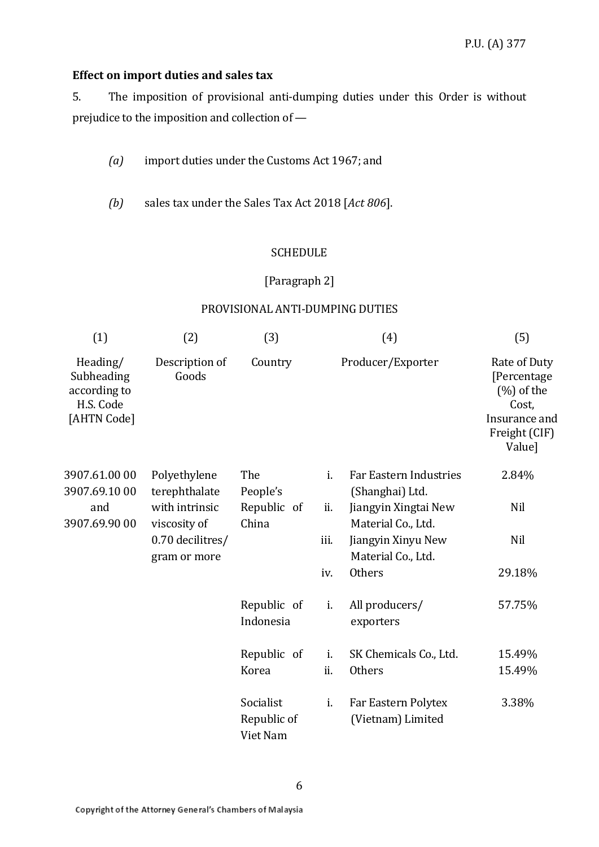# **Effect on import duties and sales tax**

5. The imposition of provisional anti-dumping duties under this Order is without prejudice to the imposition and collection of —

- *(a)* import duties under the Customs Act 1967; and
- *(b)* sales tax under the Sales Tax Act 2018 [*Act 806*].

# **SCHEDULE**

# [Paragraph 2]

## PROVISIONAL ANTI-DUMPING DUTIES

| (1)                                                                | (2)                              | (3)                                  |      | (4)                                              | (5)                                                                                               |
|--------------------------------------------------------------------|----------------------------------|--------------------------------------|------|--------------------------------------------------|---------------------------------------------------------------------------------------------------|
| Heading/<br>Subheading<br>according to<br>H.S. Code<br>[AHTN Code] | Description of<br>Goods          | Country                              |      | Producer/Exporter                                | Rate of Duty<br>[Percentage<br>$(\%)$ of the<br>Cost,<br>Insurance and<br>Freight (CIF)<br>Value] |
| 3907.61.00 00<br>3907.69.1000                                      | Polyethylene<br>terephthalate    | The<br>People's                      | i.   | <b>Far Eastern Industries</b><br>(Shanghai) Ltd. | 2.84%                                                                                             |
| and<br>3907.69.90 00                                               | with intrinsic<br>viscosity of   | Republic of<br>China                 | ii.  | Jiangyin Xingtai New<br>Material Co., Ltd.       | Nil                                                                                               |
|                                                                    | 0.70 decilitres/<br>gram or more |                                      | iii. | Jiangyin Xinyu New<br>Material Co., Ltd.         | Nil                                                                                               |
|                                                                    |                                  |                                      | iv.  | <b>Others</b>                                    | 29.18%                                                                                            |
|                                                                    |                                  | Republic of<br>Indonesia             | i.   | All producers/<br>exporters                      | 57.75%                                                                                            |
|                                                                    |                                  | Republic of                          | i.   | SK Chemicals Co., Ltd.                           | 15.49%                                                                                            |
|                                                                    |                                  | Korea                                | ii.  | <b>Others</b>                                    | 15.49%                                                                                            |
|                                                                    |                                  | Socialist<br>Republic of<br>Viet Nam | i.   | Far Eastern Polytex<br>(Vietnam) Limited         | 3.38%                                                                                             |